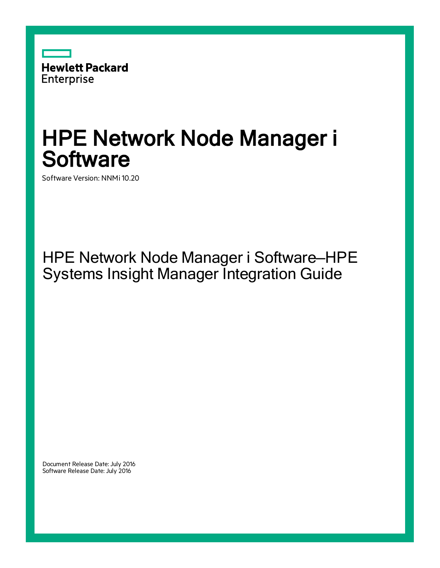

# HPE Network Node Manager i **Software**

Software Version: NNMi 10.20

HPE Network Node Manager i Software—HPE Systems Insight Manager Integration Guide

Document Release Date: July 2016 Software Release Date: July 2016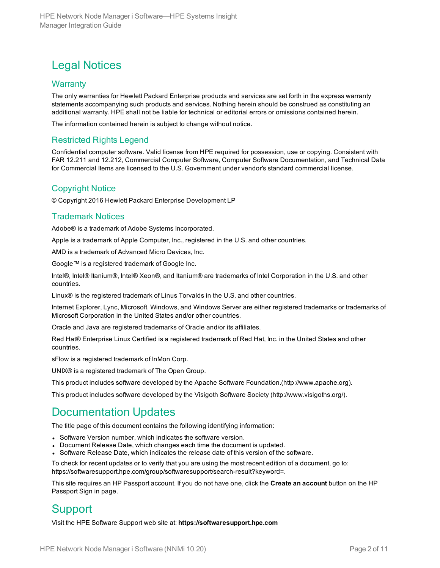### Legal Notices

#### **Warranty**

The only warranties for Hewlett Packard Enterprise products and services are set forth in the express warranty statements accompanying such products and services. Nothing herein should be construed as constituting an additional warranty. HPE shall not be liable for technical or editorial errors or omissions contained herein.

The information contained herein is subject to change without notice.

#### Restricted Rights Legend

Confidential computer software. Valid license from HPE required for possession, use or copying. Consistent with FAR 12.211 and 12.212, Commercial Computer Software, Computer Software Documentation, and Technical Data for Commercial Items are licensed to the U.S. Government under vendor's standard commercial license.

#### Copyright Notice

© Copyright 2016 Hewlett Packard Enterprise Development LP

#### Trademark Notices

Adobe® is a trademark of Adobe Systems Incorporated.

Apple is a trademark of Apple Computer, Inc., registered in the U.S. and other countries.

AMD is a trademark of Advanced Micro Devices, Inc.

Google™ is a registered trademark of Google Inc.

Intel®, Intel® Itanium®, Intel® Xeon®, and Itanium® are trademarks of Intel Corporation in the U.S. and other countries.

Linux® is the registered trademark of Linus Torvalds in the U.S. and other countries.

Internet Explorer, Lync, Microsoft, Windows, and Windows Server are either registered trademarks or trademarks of Microsoft Corporation in the United States and/or other countries.

Oracle and Java are registered trademarks of Oracle and/or its affiliates.

Red Hat® Enterprise Linux Certified is a registered trademark of Red Hat, Inc. in the United States and other countries.

sFlow is a registered trademark of InMon Corp.

UNIX® is a registered trademark of The Open Group.

This product includes software developed by the Apache Software Foundation.(http://www.apache.org).

This product includes software developed by the Visigoth Software Society (http://www.visigoths.org/).

#### Documentation Updates

The title page of this document contains the following identifying information:

- Software Version number, which indicates the software version.
- Document Release Date, which changes each time the document is updated.
- <sup>l</sup> Software Release Date, which indicates the release date of this version of the software.

To check for recent updates or to verify that you are using the most recent edition of a document, go to: https://softwaresupport.hpe.com/group/softwaresupport/search-result?keyword=.

This site requires an HP Passport account. If you do not have one, click the **Create an account** button on the HP Passport Sign in page.

### Support

Visit the HPE Software Support web site at: **https://softwaresupport.hpe.com**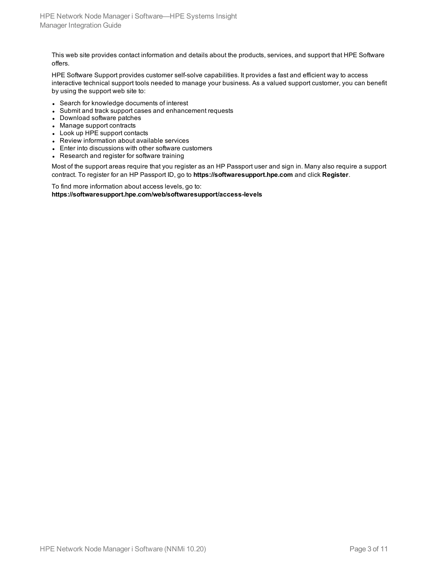This web site provides contact information and details about the products, services, and support that HPE Software offers.

HPE Software Support provides customer self-solve capabilities. It provides a fast and efficient way to access interactive technical support tools needed to manage your business. As a valued support customer, you can benefit by using the support web site to:

- Search for knowledge documents of interest
- Submit and track support cases and enhancement requests
- Download software patches
- Manage support contracts
- Look up HPE support contacts
- Review information about available services
- Enter into discussions with other software customers
- Research and register for software training

Most of the support areas require that you register as an HP Passport user and sign in. Many also require a support contract. To register for an HP Passport ID, go to **https://softwaresupport.hpe.com** and click **Register**.

To find more information about access levels, go to: **https://softwaresupport.hpe.com/web/softwaresupport/access-levels**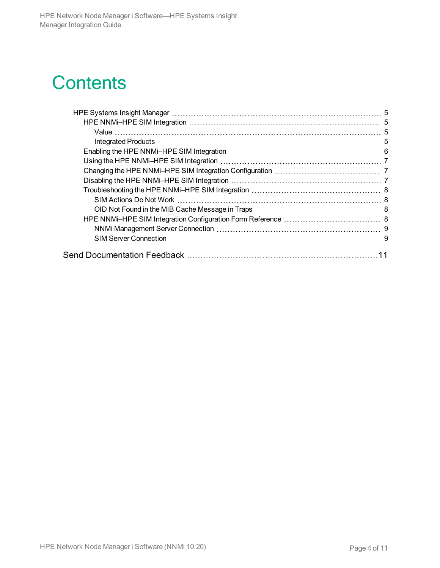# **Contents**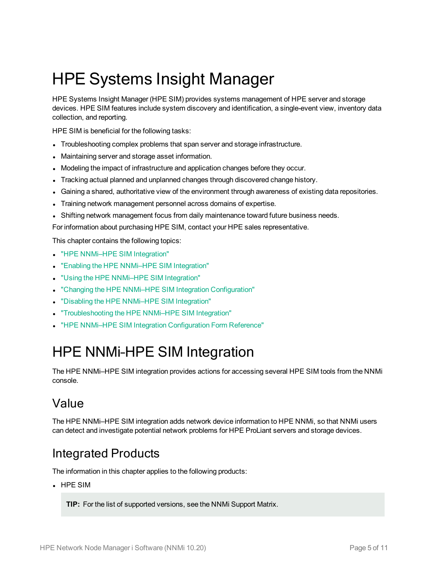# <span id="page-4-0"></span>HPE Systems Insight Manager

HPE Systems Insight Manager (HPE SIM) provides systems management of HPE server and storage devices. HPE SIM features include system discovery and identification, a single-event view, inventory data collection, and reporting.

HPE SIM is beneficial for the following tasks:

- Troubleshooting complex problems that span server and storage infrastructure.
- Maintaining server and storage asset information.
- <sup>l</sup> Modeling the impact of infrastructure and application changes before they occur.
- Tracking actual planned and unplanned changes through discovered change history.
- <sup>l</sup> Gaining a shared, authoritative view of the environment through awareness of existing data repositories.
- <sup>l</sup> Training network management personnel across domains of expertise.
- Shifting network management focus from daily maintenance toward future business needs.

For information about purchasing HPE SIM, contact your HPE sales representative.

This chapter contains the following topics:

- "HPE NNMi-HPE SIM Integration"
- "Enabling the HPE NNMi-HPE SIM Integration"
- **.** "Using the [HPE NNMi–HPE SIM](#page-6-0) Integration"
- <sup>l</sup> "Changing the [HPE NNMi–HPE SIM](#page-6-1) Integration Configuration"
- <sup>l</sup> "Disabling the [HPE NNMi–HPE SIM](#page-6-2) Integration"
- <sup>l</sup> "Troubleshooting the [HPE NNMi–HPE SIM](#page-7-0) Integration"
- <span id="page-4-1"></span>**.** ["HPE NNMi–HPE SIM](#page-7-3) Integration Configuration Form Reference"

## HPE NNMi–HPE SIM Integration

The HPE NNMi–HPE SIM integration provides actions for accessing several HPE SIM tools from the NNMi console.

### <span id="page-4-2"></span>Value

<span id="page-4-3"></span>The HPE NNMi–HPE SIM integration adds network device information to HPE NNMi, so that NNMi users can detect and investigate potential network problems for HPE ProLiant servers and storage devices.

### Integrated Products

The information in this chapter applies to the following products:

 $\cdot$  HPE SIM

**TIP:** For the list of supported versions, see the NNMi Support Matrix.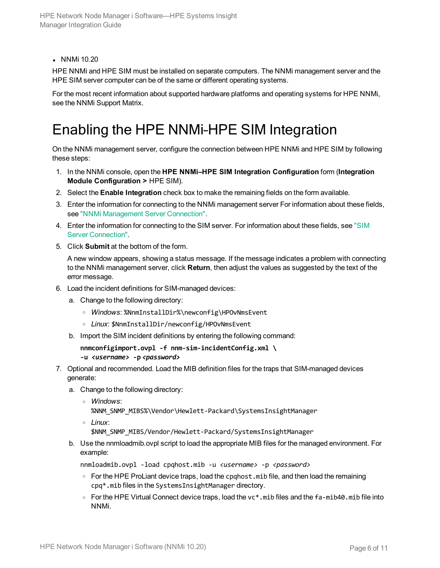• NNMi 10.20

HPE NNMi and HPE SIM must be installed on separate computers. The NNMi management server and the HPE SIM server computer can be of the same or different operating systems.

<span id="page-5-0"></span>For the most recent information about supported hardware platforms and operating systems for HPE NNMi, see the NNMi Support Matrix.

## Enabling the HPE NNMi–HPE SIM Integration

On the NNMi management server, configure the connection between HPE NNMi and HPE SIM by following these steps:

- 1. In the NNMi console, open the **HPE NNMi–HPE SIM Integration Configuration** form (**Integration Module Configuration >** HPE SIM).
- 2. Select the **Enable Integration** check box to make the remaining fields on the form available.
- 3. Enter the information for connecting to the NNMi management server For information about these fields, see "NNMi [Management](#page-8-0) Server Connection".
- 4. Enter the information for connecting to the SIM server. For information about these fields, see ["SIM](#page-8-1) Server [Connection".](#page-8-1)
- 5. Click **Submit** at the bottom of the form.

A new window appears, showing a status message. If the message indicates a problem with connecting to the NNMi management server, click **Return**, then adjust the values as suggested by the text of the error message.

- 6. Load the incident definitions for SIM-managed devices:
	- a. Change to the following directory:
		- <sup>o</sup> *Windows*: %NnmInstallDir%\newconfig\HPOvNmsEvent
		- <sup>o</sup> *Linux*: \$NnmInstallDir/newconfig/HPOvNmsEvent
	- b. Import the SIM incident definitions by entering the following command:

```
nnmconfigimport.ovpl -f nnm-sim-incidentConfig.xml \
-u <username> -p <password>
```
- 7. Optional and recommended. Load the MIB definition files for the traps that SIM-managed devices generate:
	- a. Change to the following directory:
		- <sup>o</sup> *Windows*: %NNM SNMP MIBS%\Vendor\Hewlett-Packard\SystemsInsightManager
		- <sup>o</sup> *Linux*:

\$NNM\_SNMP\_MIBS/Vendor/Hewlett-Packard/SystemsInsightManager

b. Use the nnmloadmib.ovpl script to load the appropriate MIB files for the managed environment. For example:

nnmloadmib.ovpl -load cpqhost.mib -u *<username>* -p *<password>*

- $\circ$  For the HPE ProLiant device traps, load the cpqhost.mib file, and then load the remaining cpq\*.mib files in the SystemsInsightManager directory.
- $\circ$  For the HPE Virtual Connect device traps, load the vc\*. mib files and the fa-mib40. mib file into NNMi.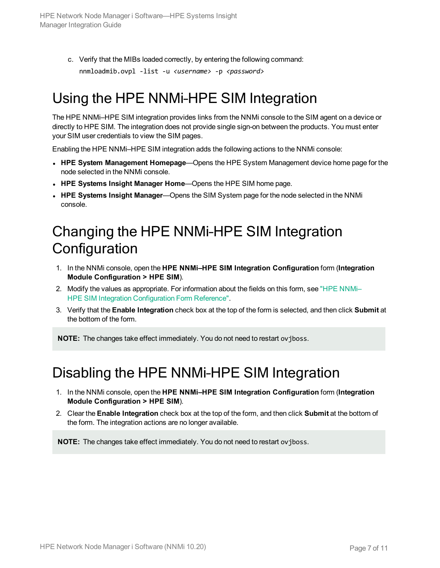c. Verify that the MIBs loaded correctly, by entering the following command: nnmloadmib.ovpl -list -u *<username>* -p *<password>*

## <span id="page-6-0"></span>Using the HPE NNMi–HPE SIM Integration

The HPE NNMi–HPE SIM integration provides links from the NNMi console to the SIM agent on a device or directly to HPE SIM. The integration does not provide single sign-on between the products. You must enter your SIM user credentials to view the SIM pages.

Enabling the HPE NNMi–HPE SIM integration adds the following actions to the NNMi console:

- <sup>l</sup> **HPE System Management Homepage**—Opens the HPE System Management device home page for the node selected in the NNMi console.
- <sup>l</sup> **HPE Systems Insight Manager Home**—Opens the HPE SIM home page.
- <span id="page-6-1"></span><sup>l</sup> **HPE Systems Insight Manager**—Opens the SIM System page for the node selected in the NNMi console.

## Changing the HPE NNMi–HPE SIM Integration **Configuration**

- 1. In the NNMi console, open the **HPE NNMi–HPE SIM Integration Configuration** form (**Integration Module Configuration > HPE SIM**).
- 2. Modify the values as appropriate. For information about the fields on this form, see ["HPE NNMi–](#page-7-3) HPE SIM Integration [Configuration](#page-7-3) Form Reference".
- 3. Verify that the **Enable Integration** check box at the top of the form is selected, and then click **Submit** at the bottom of the form.

<span id="page-6-2"></span>**NOTE:** The changes take effect immediately. You do not need to restart ovjboss.

### Disabling the HPE NNMi–HPE SIM Integration

- 1. In the NNMi console, open the **HPE NNMi–HPE SIM Integration Configuration** form (**Integration Module Configuration > HPE SIM**).
- 2. Clear the **Enable Integration** check box at the top of the form, and then click **Submit** at the bottom of the form. The integration actions are no longer available.

**NOTE:** The changes take effect immediately. You do not need to restart ovjboss.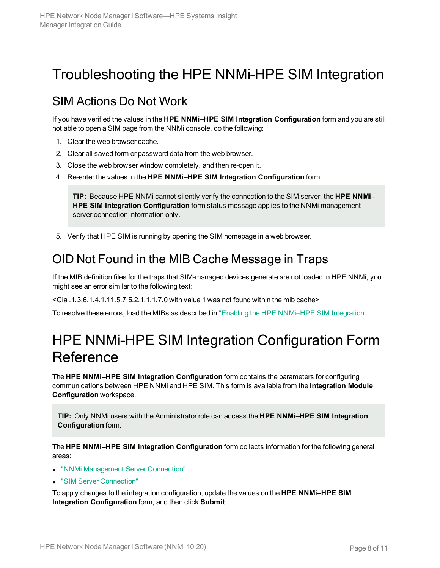# <span id="page-7-0"></span>Troubleshooting the HPE NNMi–HPE SIM Integration

### <span id="page-7-1"></span>SIM Actions Do Not Work

If you have verified the values in the **HPE NNMi–HPE SIM Integration Configuration** form and you are still not able to open a SIM page from the NNMi console, do the following:

- 1. Clear the web browser cache.
- 2. Clear all saved form or password data from the web browser.
- 3. Close the web browser window completely, and then re-open it.
- 4. Re-enter the values in the **HPE NNMi–HPE SIM Integration Configuration** form.

**TIP:** Because HPE NNMi cannot silently verify the connection to the SIM server, the **HPE NNMi– HPE SIM Integration Configuration** form status message applies to the NNMi management server connection information only.

<span id="page-7-2"></span>5. Verify that HPE SIM is running by opening the SIM homepage in a web browser.

### OID Not Found in the MIB Cache Message in Traps

If the MIB definition files for the traps that SIM-managed devices generate are not loaded in HPE NNMi, you might see an error similar to the following text:

<Cia .1.3.6.1.4.1.11.5.7.5.2.1.1.1.7.0 with value 1 was not found within the mib cache>

<span id="page-7-3"></span>To resolve these errors, load the MIBs as described in "Enabling the [HPE NNMi–HPE SIM](#page-5-0) Integration".

## HPE NNMi–HPE SIM Integration Configuration Form **Reference**

The **HPE NNMi–HPE SIM Integration Configuration** form contains the parameters for configuring communications between HPE NNMi and HPE SIM. This form is available from the **Integration Module Configuration** workspace.

**TIP:** Only NNMi users with the Administrator role can access the **HPE NNMi–HPE SIM Integration Configuration** form.

The **HPE NNMi–HPE SIM Integration Configuration** form collects information for the following general areas:

- "NNMi [Management](#page-8-0) Server Connection"
- **.** "SIM Server [Connection"](#page-8-1)

To apply changes to the integration configuration, update the values on the **HPE NNMi–HPE SIM Integration Configuration** form, and then click **Submit**.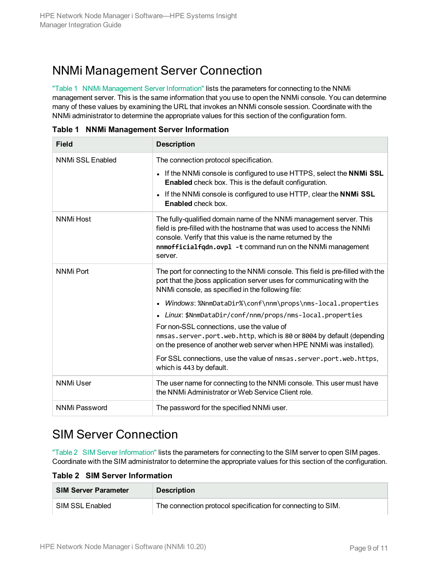### <span id="page-8-0"></span>NNMi Management Server Connection

"Table 1 NNMi [Management](#page-8-2) Server Information" lists the parameters for connecting to the NNMi management server. This is the same information that you use to open the NNMi console. You can determine many of these values by examining the URL that invokes an NNMi console session. Coordinate with the NNMi administrator to determine the appropriate values for this section of the configuration form.

| <b>Field</b>         | <b>Description</b>                                                                                                                                                                                                                                                                    |  |  |  |
|----------------------|---------------------------------------------------------------------------------------------------------------------------------------------------------------------------------------------------------------------------------------------------------------------------------------|--|--|--|
| NNMi SSL Enabled     | The connection protocol specification.                                                                                                                                                                                                                                                |  |  |  |
|                      | • If the NNMi console is configured to use HTTPS, select the NNMi SSL<br><b>Enabled</b> check box. This is the default configuration.                                                                                                                                                 |  |  |  |
|                      | If the NNMi console is configured to use HTTP, clear the NNMi SSL<br>$\bullet$<br><b>Enabled</b> check box.                                                                                                                                                                           |  |  |  |
| <b>NNMi Host</b>     | The fully-qualified domain name of the NNMi management server. This<br>field is pre-filled with the hostname that was used to access the NNMi<br>console. Verify that this value is the name returned by the<br>nnmofficialfgdn.ovpl -t command run on the NNMi management<br>server. |  |  |  |
| <b>NNMi Port</b>     | The port for connecting to the NNMi console. This field is pre-filled with the<br>port that the jboss application server uses for communicating with the<br>NNMi console, as specified in the following file:                                                                         |  |  |  |
|                      | • Windows: %NnmDataDir%\conf\nnm\props\nms-local.properties                                                                                                                                                                                                                           |  |  |  |
|                      | Linux: \$NnmDataDir/conf/nnm/props/nms-local.properties<br>$\bullet$                                                                                                                                                                                                                  |  |  |  |
|                      | For non-SSL connections, use the value of                                                                                                                                                                                                                                             |  |  |  |
|                      | nmsas.server.port.web.http, which is 80 or 8004 by default (depending<br>on the presence of another web server when HPE NNMi was installed).                                                                                                                                          |  |  |  |
|                      | For SSL connections, use the value of nmsas.server.port.web.https,<br>which is 443 by default.                                                                                                                                                                                        |  |  |  |
| <b>NNMi User</b>     | The user name for connecting to the NNMi console. This user must have<br>the NNMi Administrator or Web Service Client role.                                                                                                                                                           |  |  |  |
| <b>NNMi Password</b> | The password for the specified NNMi user.                                                                                                                                                                                                                                             |  |  |  |

<span id="page-8-2"></span>**Table 1 NNMi Management Server Information**

### <span id="page-8-1"></span>SIM Server Connection

"Table 2 SIM Server [Information"](#page-8-3) lists the parameters for connecting to the SIM server to open SIM pages. Coordinate with the SIM administrator to determine the appropriate values for this section of the configuration.

<span id="page-8-3"></span>**Table 2 SIM Server Information**

| <b>SIM Server Parameter</b> | <b>Description</b>                                           |
|-----------------------------|--------------------------------------------------------------|
| SIM SSL Enabled             | The connection protocol specification for connecting to SIM. |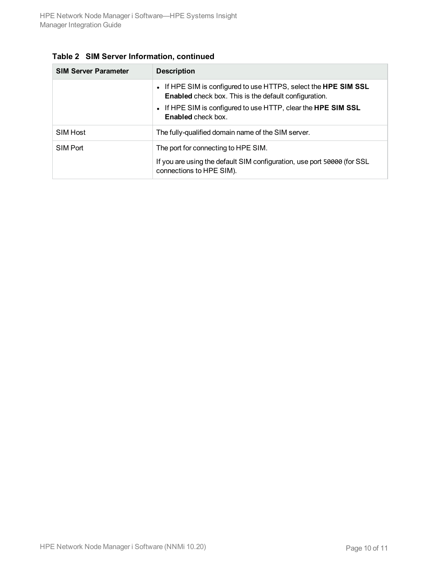| <b>SIM Server Parameter</b> | <b>Description</b>                                                                                                              |  |  |
|-----------------------------|---------------------------------------------------------------------------------------------------------------------------------|--|--|
|                             | • If HPE SIM is configured to use HTTPS, select the HPE SIM SSL<br><b>Enabled</b> check box. This is the default configuration. |  |  |
|                             | • If HPE SIM is configured to use HTTP, clear the <b>HPE SIM SSL</b><br><b>Enabled</b> check box.                               |  |  |
| SIM Host                    | The fully-qualified domain name of the SIM server.                                                                              |  |  |
| SIM Port                    | The port for connecting to HPE SIM.                                                                                             |  |  |
|                             | If you are using the default SIM configuration, use port 50000 (for SSL<br>connections to HPE SIM).                             |  |  |

|  |  | Table 2 SIM Server Information, continued |  |
|--|--|-------------------------------------------|--|
|--|--|-------------------------------------------|--|